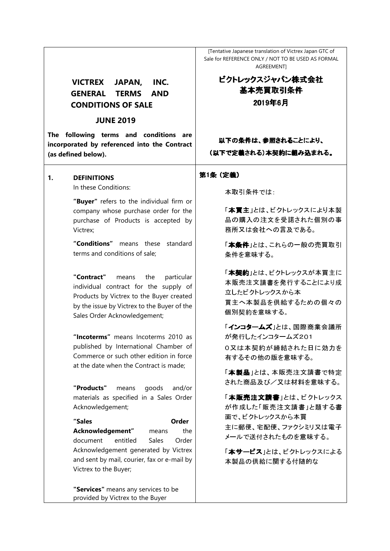## **VICTREX JAPAN, INC. GENERAL TERMS AND CONDITIONS OF SALE**

### **JUNE 2019**

**The following terms and conditions are incorporated by referenced into the Contract (as defined below).** 

#### **1. DEFINITIONS**

In these Conditions:

**"Buyer"** refers to the individual firm or company whose purchase order for the purchase of Products is accepted by Victrex;

**"Conditions"** means these standard terms and conditions of sale;

**"Contract"** means the particular individual contract for the supply of Products by Victrex to the Buyer created by the issue by Victrex to the Buyer of the Sales Order Acknowledgement;

**"Incoterms"** means Incoterms 2010 as published by International Chamber of Commerce or such other edition in force at the date when the Contract is made;

**"Products"** means goods and/or materials as specified in a Sales Order Acknowledgement;

**"Sales Order Acknowledgement"** means the document entitled Sales Order Acknowledgement generated by Victrex and sent by mail, courier, fax or e-mail by Victrex to the Buyer;

**"Services"** means any services to be provided by Victrex to the Buyer

[Tentative Japanese translation of Victrex Japan GTC of Sale for REFERENCE ONLY / NOT TO BE USED AS FORMAL **AGREEMENTI** 

# ビクトレックスジャパン株式会社 基本売買取引条件 基本売買取引条件 2019年6月

以下の条件は、参照されることにより、 (以下で定義される)本契約に組み込まれる。

#### 第1条(定義)

本取引条件では

「本買主」とは、ビクトレックスにより本製 品の購入の注文を受諾された個別の事 務所又は会社への言及である。

「本条件」とは、これらの一般の売買取引 条件を意味する。

「本契約」とは、ビクトレックスが本買主に 本販売注文請書を発行することにより成 立したビクトレックスから本 買主へ本製品を供給するための個々の 個別契約を意味する。

「インコタームズ」とは、国際商業会議所 が発行したインコタームズ201 0又は本契約が締結された日に効力を 有するその他の版を意味する。

「本製品」とは、本販売注文請書で特定 された商品及び/又は材料を意味する。

「本販売注文請書」とは、ビクトレックス が作成した「販売注文請書」と題する書 面で、ビクトレックスから本買 主に郵便、宅配便、ファクシミリ又は電子 メールで送付されたものを意味する。

「本サービス」とは、ビクトレックスによる 本製品の供給に関する付随的な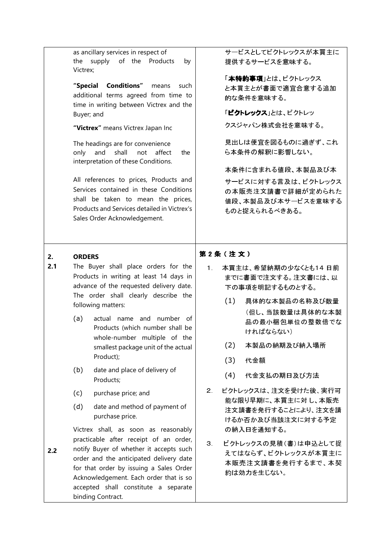|           | as ancillary services in respect of<br>supply of the Products<br>the<br>by<br>Victrex;                                                                                                                                                                                                                                                                                                                                                                                                                                    | サービスとしてビクトレックスが本買主に<br>提供するサービスを意味する。                                                                                                                                                                                                                           |
|-----------|---------------------------------------------------------------------------------------------------------------------------------------------------------------------------------------------------------------------------------------------------------------------------------------------------------------------------------------------------------------------------------------------------------------------------------------------------------------------------------------------------------------------------|-----------------------------------------------------------------------------------------------------------------------------------------------------------------------------------------------------------------------------------------------------------------|
|           | <b>Conditions"</b><br>"Special<br>means<br>such<br>additional terms agreed from time to<br>time in writing between Victrex and the<br>Buyer; and<br>"Victrex" means Victrex Japan Inc<br>The headings are for convenience<br>shall<br>only<br>and<br>affect<br>not<br>the<br>interpretation of these Conditions.<br>All references to prices, Products and<br>Services contained in these Conditions<br>shall be taken to mean the prices,<br>Products and Services detailed in Victrex's<br>Sales Order Acknowledgement. | 「本特約事項」とは、ビクトレックス<br>と本買主とが書面で適宜合意する追加<br>的な条件を意味する。<br>「ビクトレックス」とは、ビクトレッ<br>クスジャパン株式会社を意味する。<br>見出しは便宜を図るものに過ぎず、これ<br>ら本条件の解釈に影響しない。<br>本条件に含まれる値段、本製品及び本<br>サービスに対する言及は、ビクトレックス<br>の本販売注文請書で詳細が定められた<br>値段、本製品及び本サービスを意味する<br>ものと捉えられるべきある。                   |
| 2.<br>2.1 | <b>ORDERS</b><br>The Buyer shall place orders for the<br>Products in writing at least 14 days in<br>advance of the requested delivery date.<br>The order shall clearly describe the<br>following matters:<br>actual name and number of<br>(a)<br>Products (which number shall be<br>whole-number multiple of the<br>smallest package unit of the actual<br>Product);<br>(b)<br>date and place of delivery of<br>Products;                                                                                                 | 第2条(注文)<br>本買主は、希望納期の少なくとも14日前<br>1 <sub>1</sub><br>までに書面で注文する。注文書には、以<br>下の事項を明記するものとする。<br>(1)<br>具体的な本製品の名称及び数量<br>(但し、当該数量は具体的な本製<br>品の最小梱包単位の整数倍でな<br>ければならない)<br>(2)<br>本製品の納期及び納入場所<br>(3)<br>代金額<br>(4)<br>代金支払の期日及び方法<br>ビクトレックスは、注文を受けた後、実行可<br>$2 -$ |
| 2.2       | (c)<br>purchase price; and<br>(d)<br>date and method of payment of<br>purchase price.<br>Victrex shall, as soon as reasonably<br>practicable after receipt of an order,<br>notify Buyer of whether it accepts such<br>order and the anticipated delivery date<br>for that order by issuing a Sales Order<br>Acknowledgement. Each order that is so<br>accepted shall constitute a separate<br>binding Contract.                                                                                                           | 能な限り早期に、本買主に対し、本販売<br>注文請書を発行することにより、注文を請<br>けるか否か及び当該注文に対する予定<br>の納入日を通知する。<br>ビクトレックスの見積(書)は申込として捉<br>3 <sub>1</sub><br>えてはならず、ビクトレックスが本買主に<br>本販売注文請書を発行するまで、本契<br>約は効力を生じない。                                                                                |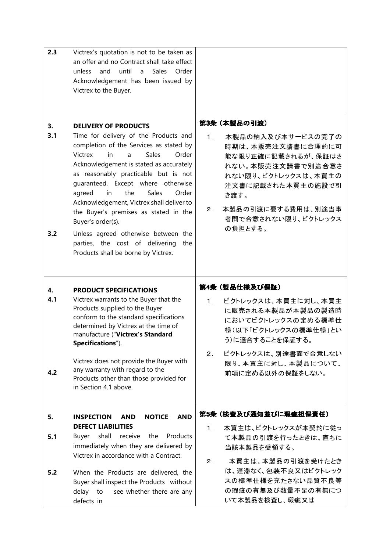| 2.3              | Victrex's quotation is not to be taken as<br>an offer and no Contract shall take effect<br>until<br><b>Sales</b><br>unless<br>and<br>a<br>Order<br>Acknowledgement has been issued by<br>Victrex to the Buyer.                                                                                                                                                                                                                                                                                                                                                |                                                                                                                                                                                                                                            |
|------------------|---------------------------------------------------------------------------------------------------------------------------------------------------------------------------------------------------------------------------------------------------------------------------------------------------------------------------------------------------------------------------------------------------------------------------------------------------------------------------------------------------------------------------------------------------------------|--------------------------------------------------------------------------------------------------------------------------------------------------------------------------------------------------------------------------------------------|
| 3.<br>3.1<br>3.2 | <b>DELIVERY OF PRODUCTS</b><br>Time for delivery of the Products and<br>completion of the Services as stated by<br>Victrex<br>Sales<br>Order<br>in.<br>a<br>Acknowledgement is stated as accurately<br>as reasonably practicable but is not<br>quaranteed. Except where otherwise<br>Sales<br>agreed<br>in<br>the<br>Order<br>Acknowledgement, Victrex shall deliver to<br>the Buyer's premises as stated in the<br>Buyer's order(s).<br>Unless agreed otherwise between the<br>parties, the cost of delivering<br>the<br>Products shall be borne by Victrex. | 第3条 (本製品の引渡)<br>1 <sub>1</sub><br>本製品の納入及び本サービスの完了の<br>時期は、本販売注文請書に合理的に可<br>能な限り正確に記載されるが、保証はさ<br>れない。本販売注文請書で別途合意さ<br>れない限り、ビクトレックスは、本買主の<br>注文書に記載された本買主の施設で引<br>き渡す。<br>本製品の引渡に要する費用は、別途当事<br>$2_{-}$<br>者間で合意されない限り、ビクトレックス<br>の負担とする。 |
| 4.               | <b>PRODUCT SPECIFICATIONS</b>                                                                                                                                                                                                                                                                                                                                                                                                                                                                                                                                 | 第4条 (製品仕様及び保証)                                                                                                                                                                                                                             |
| 4.1<br>4.2       | Victrex warrants to the Buyer that the<br>Products supplied to the Buyer<br>conform to the standard specifications<br>determined by Victrex at the time of<br>manufacture ("Victrex's Standard<br>Specifications").<br>Victrex does not provide the Buyer with<br>any warranty with regard to the<br>Products other than those provided for<br>in Section 4.1 above.                                                                                                                                                                                          | ビクトレックスは、本買主に対し、本買主<br>$1 -$<br>に販売される本製品が本製品の製造時<br>においてビクトレックスの定める標準仕<br>様(以下「ビクトレックスの標準仕様」とい<br>う)に適合することを保証する。<br>ビクトレックスは、別途書面で合意しない<br>$2 -$<br>限り、本買主に対し、本製品について、<br>前項に定める以外の保証をしない。                                               |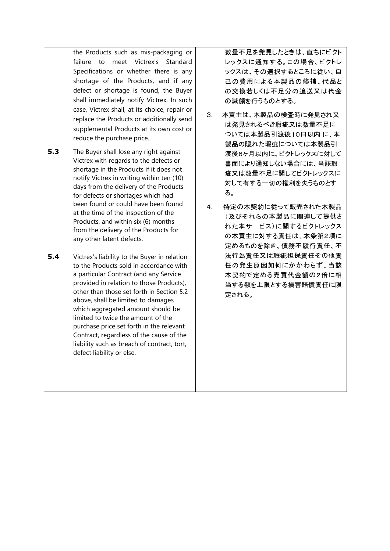the Products such as mis-packaging or failure to meet Victrex's Standard Specifications or whether there is any shortage of the Products, and if any defect or shortage is found, the Buyer shall immediately notify Victrex. In such case, Victrex shall, at its choice, repair or replace the Products or additionally send supplemental Products at its own cost or reduce the purchase price.

- **5.3** The Buyer shall lose any right against Victrex with regards to the defects or shortage in the Products if it does not notify Victrex in writing within ten (10) days from the delivery of the Products for defects or shortages which had been found or could have been found at the time of the inspection of the Products, and within six (6) months from the delivery of the Products for any other latent defects.
- **5.4** Victrex's liability to the Buyer in relation to the Products sold in accordance with a particular Contract (and any Service provided in relation to those Products), other than those set forth in Section 5.2 above, shall be limited to damages which aggregated amount should be limited to twice the amount of the purchase price set forth in the relevant Contract, regardless of the cause of the liability such as breach of contract, tort, defect liability or else.

数量不足を発見したときは、直ちにビクト レックスに通知する。この場合、ビクトレ ックスは、その選択するところに従い、自 己の費用による本製品の修補、代品と の交換若しくは不足分の追送又は代金 の減額を行うものとする。

- 3. 本買主は、本製品の検査時に発見され又 は発見されるべき瑕疵又は数量不足に ついては本製品引渡後10日以内 に、本 製品の隠れた瑕疵については本製品引 渡後6ヶ月以内に、ビクトレックスに対して 書面により通知しない場合には、当該瑕 疵又は数量不足に関してビクトレックスに 対して有する一切の権利を失うものとす る。
- 4. 特定の本契約に従って販売された本製品 (及びそれらの本製品に関連して提供さ れた本サービス)に関するビクトレックス の本買主に対する責任は、本条第2項に 定めるものを除き、債務不履行責任、不 法行為責任又は瑕疵担保責任その他責 任の発生原因如何にかかわらず、当該 本契約で定める売買代金額の2倍に相 当する額を上限とする損害賠償責任に限 定される。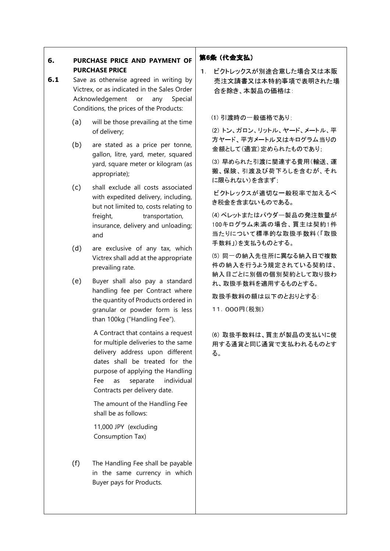## **6. PURCHASE PRICE AND PAYMENT OF PURCHASE PRICE**

- **6.1** Save as otherwise agreed in writing by Victrex, or as indicated in the Sales Order Acknowledgement or any Special Conditions, the prices of the Products:
	- (a) will be those prevailing at the time of delivery;
	- (b) are stated as a price per tonne, gallon, litre, yard, meter, squared yard, square meter or kilogram (as appropriate);
	- (c) shall exclude all costs associated with expedited delivery, including, but not limited to, costs relating to freight, transportation, insurance, delivery and unloading; and
	- (d) are exclusive of any tax, which Victrex shall add at the appropriate prevailing rate.
	- (e) Buyer shall also pay a standard handling fee per Contract where the quantity of Products ordered in granular or powder form is less than 100kg ("Handling Fee").

A Contract that contains a request for multiple deliveries to the same delivery address upon different dates shall be treated for the purpose of applying the Handling Fee as separate individual Contracts per delivery date.

The amount of the Handling Fee shall be as follows:

11,000 JPY (excluding Consumption Tax)

(f) The Handling Fee shall be payable in the same currency in which Buyer pays for Products.

### 第6条(代金支払)

1. ビクトレックスが別途合意した場合又は本販 売注文請書又は本特約事項で表明された場 合を除き、本製品の価格は:

(1) 引渡時の一般価格であり;

(2) トン、ガロン、リットル、ヤード、メートル、平 方ヤード、平方メートル又はキログラム当りの 金額として(適宜)定められたものであり;

(3) 早められた引渡に関連する費用(輸送、運 搬、保険、引渡及び荷下ろしを含むが、それ に限られない)を含まず;

 ビクトレックスが適切な一般税率で加えるべ き税金を含まないものである。

(4) ペレットまたはパウダー製品の発注数量が 100キログラム未満の場合、買主は契約1件 当たりについて標準的な取扱手数料(「取扱 手数料」)を支払うものとする。

(5) 同一の納入先住所に異なる納入日で複数 件の納入を行うよう規定されている契約は、 納入日ごとに別個の個別契約として取り扱わ れ、取扱手数料を適用するものとする。

取扱手数料の額は以下のとおりとする:

11,000円(税別)

(6) 取扱手数料は、買主が製品の支払いに使 用する通貨と同じ通貨で支払われるものとす る。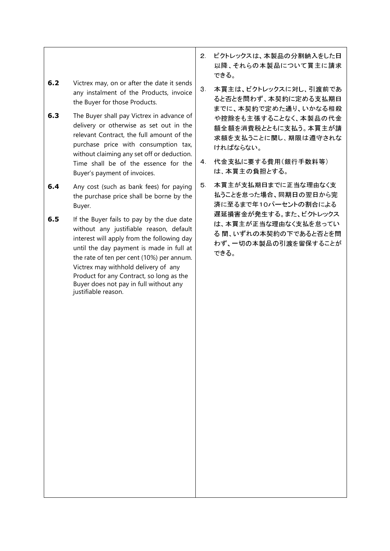## **6.2** Victrex may, on or after the date it sends any instalment of the Products, invoice the Buyer for those Products.

- **6.3** The Buyer shall pay Victrex in advance of delivery or otherwise as set out in the relevant Contract, the full amount of the purchase price with consumption tax, without claiming any set off or deduction. Time shall be of the essence for the Buyer's payment of invoices.
- **6.4** Any cost (such as bank fees) for paying the purchase price shall be borne by the Buyer.
- **6.5** If the Buyer fails to pay by the due date without any justifiable reason, default interest will apply from the following day until the day payment is made in full at the rate of ten per cent (10%) per annum. Victrex may withhold delivery of any Product for any Contract, so long as the Buyer does not pay in full without any justifiable reason.
- 2. ビクトレックスは、本製品の分割納入をした日 以降、それらの本製品について買主に請求 できる。
- 3. 本買主は、ビクトレックスに対し、引渡前であ ると否とを問わず、本契約に定める支払期日 までに、本契約で定めた通り、いかなる相殺 や控除をも主張することなく、本製品の代金 額全額を消費税とともに支払う。本買主が請 求額を支払うことに関し、期限は遵守されな ければならない。
- 4. 代金支払に要する費用(銀行手数料等) は、本買主の負担とする。
- 5. 本買主が支払期日までに正当な理由なく支 払うことを怠った場合、同期日の翌日から完 済に至るまで年10パーセントの割合による 遅延損害金が発生する。また、ビクトレックス は、本買主が正当な理由なく支払を怠ってい る 間、いずれの本契約の下であると否とを問 わず、一切の本製品の引渡を留保することが できる。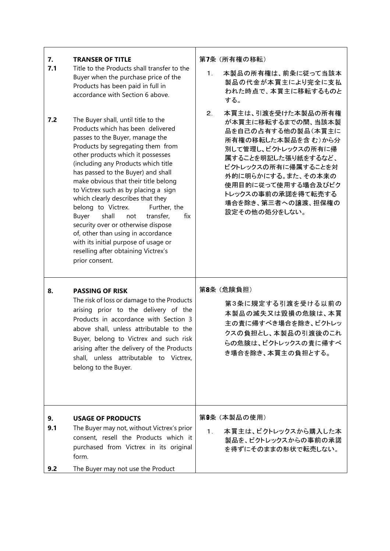| 7.<br>7.1<br>7.2 | <b>TRANSER OF TITLE</b><br>Title to the Products shall transfer to the<br>Buyer when the purchase price of the<br>Products has been paid in full in<br>accordance with Section 6 above.<br>The Buyer shall, until title to the<br>Products which has been delivered<br>passes to the Buyer, manage the<br>Products by segregating them from<br>other products which it possesses<br>(including any Products which title<br>has passed to the Buyer) and shall | 第7条 (所有権の移転)<br>本製品の所有権は、前条に従って当該本<br>$1 -$<br>製品の代金が本買主により完全に支払<br>われた時点で、本買主に移転するものと<br>する。<br>本買主は、引渡を受けた本製品の所有権<br>2.<br>が本買主に移転するまでの間、当該本製<br>品を自己の占有する他の製品(本買主に<br>所有権の移転した本製品を含む)から分<br>別して管理し、ビクトレックスの所有に帰<br>属することを明記した張り紙をするなど、<br>ビクトレックスの所有に帰属することを対<br>外的に明らかにする。また、その本来の |
|------------------|---------------------------------------------------------------------------------------------------------------------------------------------------------------------------------------------------------------------------------------------------------------------------------------------------------------------------------------------------------------------------------------------------------------------------------------------------------------|----------------------------------------------------------------------------------------------------------------------------------------------------------------------------------------------------------------------------------------------------------------------------------------|
|                  | make obvious that their title belong<br>to Victrex such as by placing a sign<br>which clearly describes that they<br>belong to Victrex.<br>Further, the<br>Buyer<br>shall<br>transfer,<br>fix<br>not<br>security over or otherwise dispose<br>of, other than using in accordance<br>with its initial purpose of usage or<br>reselling after obtaining Victrex's<br>prior consent.                                                                             | 使用目的に従って使用する場合及びビク<br>トレックスの事前の承諾を得て転売する<br>場合を除き、第三者への譲渡、担保権の<br>設定その他の処分をしない。                                                                                                                                                                                                        |
| 8.               | <b>PASSING OF RISK</b><br>The risk of loss or damage to the Products<br>arising prior to the delivery of the<br>Products in accordance with Section 3<br>above shall, unless attributable to the<br>Buyer, belong to Victrex and such risk<br>arising after the delivery of the Products<br>shall, unless attributable to Victrex,<br>belong to the Buyer.                                                                                                    | 第8条 (危険負担)<br>第3条に規定する引渡を受ける以前の<br>本製品の滅失又は毀損の危険は、本買<br>主の責に帰すべき場合を除き、ビクトレッ<br>クスの負担とし、本製品の引渡後のこれ<br>らの危険は、ビクトレックスの責に帰すべ<br>き場合を除き、本買主の負担とする。                                                                                                                                          |
| 9.<br>9.1<br>9.2 | <b>USAGE OF PRODUCTS</b><br>The Buyer may not, without Victrex's prior<br>consent, resell the Products which it<br>purchased from Victrex in its original<br>form.<br>The Buyer may not use the Product                                                                                                                                                                                                                                                       | 第9条 (本製品の使用)<br>本買主は、ビクトレックスから購入した本<br>1.<br>製品を、ビクトレックスからの事前の承諾<br>を得ずにそのままの形状で転売しない。                                                                                                                                                                                                 |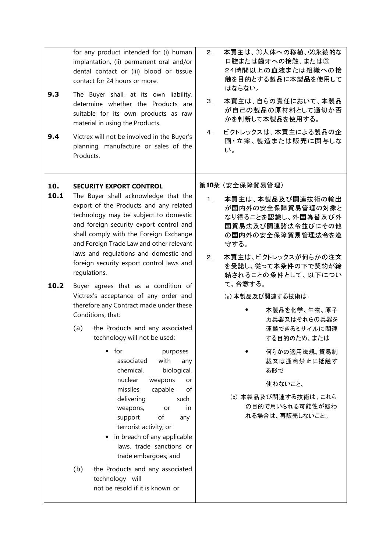| 9.3<br>9.4          | for any product intended for (i) human<br>implantation, (ii) permanent oral and/or<br>dental contact or (iii) blood or tissue<br>contact for 24 hours or more.<br>The Buyer shall, at its own liability,<br>determine whether the Products are<br>suitable for its own products as raw<br>material in using the Products.<br>Victrex will not be involved in the Buyer's<br>planning, manufacture or sales of the<br>Products.                                                                                                                                                                                                                                                                                                                                                                                                                                                                                                                                                                                                                                 | 本買主は、①人体への移植、2永続的な<br>$2 -$<br>口腔または歯牙への接触、または③<br>24時間以上の血液または組織への接<br>触を目的とする製品に本製品を使用して<br>はならない。<br>本買主は、自らの責任において、本製品<br>З.<br>が自己の製品の原材料として適切か否<br>かを判断して本製品を使用する。<br>ビクトレックスは、本買主による製品の企<br>$\overline{4}$<br>画立案、製造または販売に関与しな<br>い。                                                                                                                                                                                                |
|---------------------|----------------------------------------------------------------------------------------------------------------------------------------------------------------------------------------------------------------------------------------------------------------------------------------------------------------------------------------------------------------------------------------------------------------------------------------------------------------------------------------------------------------------------------------------------------------------------------------------------------------------------------------------------------------------------------------------------------------------------------------------------------------------------------------------------------------------------------------------------------------------------------------------------------------------------------------------------------------------------------------------------------------------------------------------------------------|--------------------------------------------------------------------------------------------------------------------------------------------------------------------------------------------------------------------------------------------------------------------------------------------------------------------------------------------------------------------------------------------------------------------------------------------|
| 10.<br>10.1<br>10.2 | <b>SECURITY EXPORT CONTROL</b><br>The Buyer shall acknowledge that the<br>export of the Products and any related<br>technology may be subject to domestic<br>and foreign security export control and<br>shall comply with the Foreign Exchange<br>and Foreign Trade Law and other relevant<br>laws and regulations and domestic and<br>foreign security export control laws and<br>regulations.<br>Buyer agrees that as a condition of<br>Victrex's acceptance of any order and<br>therefore any Contract made under these<br>Conditions, that:<br>the Products and any associated<br>(a)<br>technology will not be used:<br>for<br>$\bullet$<br>purposes<br>with<br>associated<br>any<br>chemical,<br>biological,<br>nuclear<br>weapons<br>or<br>missiles<br>capable<br>of<br>delivering<br>such<br>weapons,<br>in<br>or<br>support<br>of<br>any<br>terrorist activity; or<br>in breach of any applicable<br>laws, trade sanctions or<br>trade embargoes; and<br>(b)<br>the Products and any associated<br>technology will<br>not be resold if it is known or | 第10条 (安全保障貿易管理)<br>本買主は、本製品及び関連技術の輸出<br>1 <sub>1</sub><br>が国内外の安全保障貿易管理の対象と<br>なり得ることを認識し、外国為替及び外<br>国貿易法及び関連諸法令並びにその他<br>の国内外の安全保障貿易管理法令を遵<br>守する。<br>本買主は、ビクトレックスが何らかの注文<br>2.<br>を受諾し、従って本条件の下で契約が締<br>結されることの条件として、以下につい<br>て、合意する。<br>(a) 本製品及び関連する技術は:<br>本製品を化学、生物、原子<br>力兵器又はそれらの兵器を<br>運搬できるミサイルに関連<br>する目的のため、または<br>何らかの適用法規、貿易制<br>裁又は通商禁止に抵触す<br>る形で<br>使わないこと。<br>(b) 本製品及び関連する技術は、これら<br>の目的で用いられる可能性が疑わ<br>れる場合は、再販売しないこと。 |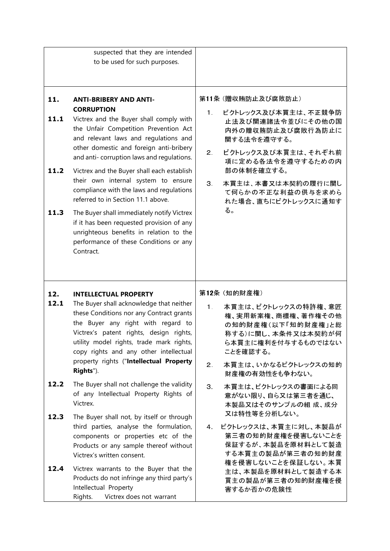|              | suspected that they are intended<br>to be used for such purposes.                                                                                                                                                                                           |                      |                                                                                                                             |
|--------------|-------------------------------------------------------------------------------------------------------------------------------------------------------------------------------------------------------------------------------------------------------------|----------------------|-----------------------------------------------------------------------------------------------------------------------------|
|              |                                                                                                                                                                                                                                                             |                      |                                                                                                                             |
|              |                                                                                                                                                                                                                                                             |                      |                                                                                                                             |
| 11.          | <b>ANTI-BRIBERY AND ANTI-</b><br><b>CORRUPTION</b>                                                                                                                                                                                                          |                      | 第11条 (贈収賄防止及び腐敗防止)                                                                                                          |
| 11.1         | Victrex and the Buyer shall comply with<br>the Unfair Competition Prevention Act<br>and relevant laws and regulations and                                                                                                                                   | $1 -$                | ビクトレックス及び本買主は、不正競争防<br>止法及び関連諸法令並びにその他の国<br>内外の贈収賄防止及び腐敗行為防止に<br>関する法令を遵守する。                                                |
| 11.2         | other domestic and foreign anti-bribery<br>and anti-corruption laws and regulations.                                                                                                                                                                        | 2.                   | ビクトレックス及び本買主は、それぞれ前<br>項に定める各法令を遵守するための内<br>部の体制を確立する。                                                                      |
|              | Victrex and the Buyer shall each establish<br>their own internal system to ensure<br>compliance with the laws and regulations<br>referred to in Section 11.1 above.                                                                                         | 3 <sup>1</sup><br>る。 | 本買主は、本書又は本契約の履行に関し<br>て何らかの不正な利益の供与を求めら<br>れた場合、直ちにビクトレックスに通知す                                                              |
| 11.3         | The Buyer shall immediately notify Victrex<br>if it has been requested provision of any<br>unrighteous benefits in relation to the<br>performance of these Conditions or any<br>Contract.                                                                   |                      |                                                                                                                             |
|              |                                                                                                                                                                                                                                                             |                      |                                                                                                                             |
| 12.          | <b>INTELLECTUAL PROPERTY</b>                                                                                                                                                                                                                                |                      | 第12条 (知的財産権)                                                                                                                |
| 12.1         | The Buyer shall acknowledge that neither<br>these Conditions nor any Contract grants<br>the Buyer any right with regard to<br>Victrex's patent rights, design rights,<br>utility model rights, trade mark rights,<br>copy rights and any other intellectual | $1 -$                | 本買主は、ビクトレックスの特許権、意匠<br>権、実用新案権、商標権、著作権その他<br>の知的財産権(以下「知的財産権」と総<br>称する)に関し、本条件又は本契約が何<br>ら本買主に権利を付与するものではない<br>ことを確認する。     |
|              | property rights ("Intellectual Property<br>Rights").                                                                                                                                                                                                        | 2.                   | 本買主は、いかなるビクトレックスの知的<br>財産権の有効性をも争わない。                                                                                       |
| 12.2         | The Buyer shall not challenge the validity<br>of any Intellectual Property Rights of<br>Victrex.                                                                                                                                                            | 3 <sup>1</sup>       | 本買主は、ビクトレックスの書面による同<br>意がない限り、自ら又は第三者を通じ、<br>本製品又はそのサンプルの組成、成分                                                              |
| 12.3<br>12.4 | The Buyer shall not, by itself or through<br>third parties, analyse the formulation,<br>components or properties etc of the<br>Products or any sample thereof without<br>Victrex's written consent.<br>Victrex warrants to the Buyer that the               | 4.                   | 又は特性等を分析しない。<br>ビクトレックスは、本買主に対し、本製品が<br>第三者の知的財産権を侵害しないことを<br>保証するが、本製品を原材料として製造<br>する本買主の製品が第三者の知的財産<br>権を侵害しないことを保証しない。本買 |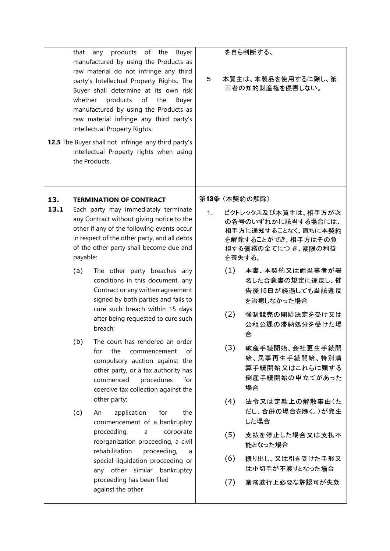|      | that<br>whether | products of<br>the<br>Buyer<br>any<br>manufactured by using the Products as<br>raw material do not infringe any third<br>party's Intellectual Property Rights. The<br>Buyer shall determine at its own risk<br>products<br>of<br>the<br>Buyer<br>manufactured by using the Products as<br>raw material infringe any third party's<br>Intellectual Property Rights.<br><b>12.5</b> The Buyer shall not infringe any third party's<br>Intellectual Property rights when using<br>the Products. | 5.    |     | を自ら判断する。<br>本買主は、本製品を使用するに際し、第<br>三者の知的財産権を侵害しない。                                                                     |
|------|-----------------|----------------------------------------------------------------------------------------------------------------------------------------------------------------------------------------------------------------------------------------------------------------------------------------------------------------------------------------------------------------------------------------------------------------------------------------------------------------------------------------------|-------|-----|-----------------------------------------------------------------------------------------------------------------------|
| 13.  |                 | <b>TERMINATION OF CONTRACT</b>                                                                                                                                                                                                                                                                                                                                                                                                                                                               |       |     | 第13条 (本契約の解除)                                                                                                         |
| 13.1 | payable:        | Each party may immediately terminate<br>any Contract without giving notice to the<br>other if any of the following events occur<br>in respect of the other party, and all debts<br>of the other party shall become due and                                                                                                                                                                                                                                                                   | $1 -$ |     | ビクトレックス及び本買主は、相手方が次<br>の各号のいずれかに該当する場合には、<br>相手方に通知することなく、直ちに本契約<br>を解除することができ、相手方はその負<br>担する債務の全てにつき、期限の利益<br>を喪失する。 |
|      | (a)             | The other party breaches any<br>conditions in this document, any<br>Contract or any written agreement<br>signed by both parties and fails to<br>cure such breach within 15 days                                                                                                                                                                                                                                                                                                              |       | (1) | 本書、本契約又は両当事者が署<br>名した合意書の規定に違反し、催<br>告後15日が経過しても当該違反<br>を治癒しなかった場合                                                    |
|      |                 | after being requested to cure such<br>breach;                                                                                                                                                                                                                                                                                                                                                                                                                                                |       | (2) | 強制競売の開始決定を受け又は<br>公租公課の滞納処分を受けた場<br>合                                                                                 |
|      | (b)             | The court has rendered an order<br>the<br>for<br>commencement<br>of<br>compulsory auction against the<br>other party, or a tax authority has<br>commenced<br>procedures<br>for<br>coercive tax collection against the                                                                                                                                                                                                                                                                        |       | (3) | 破産手続開始、会社更生手続開<br>始、民事再生手続開始、特別清<br>算手続開始又はこれらに類する<br>倒産手続開始の申立てがあった<br>場合                                            |
|      | (c)             | other party;<br>application<br>for<br>the<br>An<br>commencement of a bankruptcy                                                                                                                                                                                                                                                                                                                                                                                                              |       | (4) | 法令又は定款上の解散事由(た<br>だし、合併の場合を除く。)が発生<br>した場合                                                                            |
|      |                 | proceeding,<br>corporate<br>a<br>reorganization proceeding, a civil<br>rehabilitation<br>proceeding,<br>a                                                                                                                                                                                                                                                                                                                                                                                    |       | (5) | 支払を停止した場合又は支払不<br>能となった場合                                                                                             |
|      |                 | special liquidation proceeding or<br>any other similar bankruptcy                                                                                                                                                                                                                                                                                                                                                                                                                            |       | (6) | 振り出し、又は引き受けた手形又<br>は小切手が不渡りとなった場合                                                                                     |
|      |                 | proceeding has been filed<br>against the other                                                                                                                                                                                                                                                                                                                                                                                                                                               |       | (7) | 業務遂行上必要な許認可が失効                                                                                                        |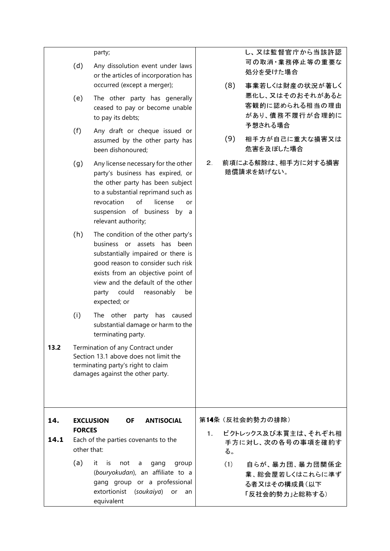|             | (d)<br>(e)                   | party;<br>Any dissolution event under laws<br>or the articles of incorporation has<br>occurred (except a merger);<br>The other party has generally<br>ceased to pay or become unable<br>to pay its debts;                                                                    |                | (8) | し、又は監督官庁から当該許認<br>可の取消·業務停止等の重要な<br>処分を受けた場合<br>事業若しくは財産の状況が著しく<br>悪化し、又はそのおそれがあると<br>客観的に認められる相当の理由<br>があり、債務不履行が合理的に<br>予想される場合 |
|-------------|------------------------------|------------------------------------------------------------------------------------------------------------------------------------------------------------------------------------------------------------------------------------------------------------------------------|----------------|-----|-----------------------------------------------------------------------------------------------------------------------------------|
|             | (f)                          | Any draft or cheque issued or<br>assumed by the other party has<br>been dishonoured;                                                                                                                                                                                         |                | (9) | 相手方が自己に重大な損害又は<br>危害を及ぼした場合                                                                                                       |
|             | (g)                          | Any license necessary for the other<br>party's business has expired, or<br>the other party has been subject<br>to a substantial reprimand such as<br>of<br>revocation<br>license<br>or<br>suspension of business by a<br>relevant authority;                                 | $2_{-}$        |     | 前項による解除は、相手方に対する損害<br>賠償請求を妨げない。                                                                                                  |
|             | (h)                          | The condition of the other party's<br>business or assets has been<br>substantially impaired or there is<br>good reason to consider such risk<br>exists from an objective point of<br>view and the default of the other<br>could<br>reasonably<br>party<br>be<br>expected; or |                |     |                                                                                                                                   |
|             | (i)                          | The other party has<br>caused<br>substantial damage or harm to the<br>terminating party.                                                                                                                                                                                     |                |     |                                                                                                                                   |
| 13.2        |                              | Termination of any Contract under<br>Section 13.1 above does not limit the<br>terminating party's right to claim<br>damages against the other party.                                                                                                                         |                |     |                                                                                                                                   |
| 14.<br>14.1 | <b>FORCES</b><br>other that: | <b>EXCLUSION</b><br><b>OF</b><br><b>ANTISOCIAL</b><br>Each of the parties covenants to the                                                                                                                                                                                   | 1 <sub>1</sub> | る。  | 第14条 (反社会的勢力の排除)<br>ビクトレックス及び本買主は、それぞれ相<br>手方に対し、次の各号の事項を確約す                                                                      |
|             | (a)                          | it<br>is<br>not<br>a<br>gang<br>group<br>(bouryokudan), an affiliate to a<br>gang group or a professional<br>extortionist<br>(soukaiya)<br>or<br>an<br>equivalent                                                                                                            |                | (1) | 自らが、暴力団、暴力団関係企<br>業、総会屋若しくはこれらに準ず<br>る者又はその構成員(以下<br>「反社会的勢力」と総称する)                                                               |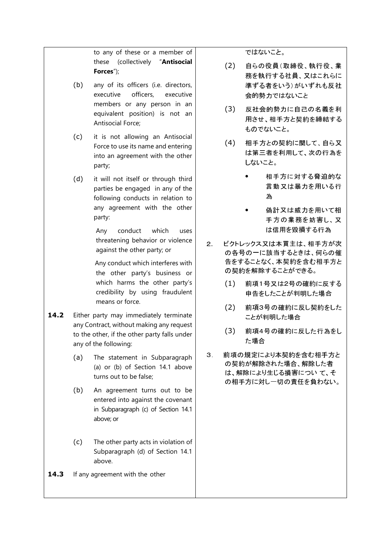to any of these or a member of these (collectively "**Antisocial Forces**");

- (b) any of its officers (i.e. directors, executive officers, executive members or any person in an equivalent position) is not an Antisocial Force;
- (c) it is not allowing an Antisocial Force to use its name and entering into an agreement with the other party;
- (d) it will not itself or through third parties be engaged in any of the following conducts in relation to any agreement with the other party:

Any conduct which uses threatening behavior or violence against the other party; or

 Any conduct which interferes with the other party's business or which harms the other party's credibility by using fraudulent means or force.

- 14.2 Either party may immediately terminate any Contract, without making any request to the other, if the other party falls under any of the following:
	- (a) The statement in Subparagraph (a) or (b) of Section 14.1 above turns out to be false;
	- (b) An agreement turns out to be entered into against the covenant in Subparagraph (c) of Section 14.1 above; or
	- (c) The other party acts in violation of Subparagraph (d) of Section 14.1 above.
- 14.3 If any agreement with the other

ではないこと。

- (2) <sup>自</sup>らの役員(取締役、執行役、業 務を執行する社員、又はこれらに 準ずる者をいう)がいずれも反社 会的勢力ではないこと
- (3) <sup>反</sup>社会的勢力に自己の名義を利 用させ、相手方と契約を締結する ものでないこと。
- (4) 相手方との契約に関して、自ら又 は第三者を利用して、次の行為を しないこと。
	- 相手方に対する脅迫的な 言動又は暴力を用いる行 為
	- **偽計又は威力を用いて相** <sup>手</sup>方の業務を妨害し、又 は信用を毀損する行為
- 2. ビクトレックス又は本買主は、相手方が次 の各号の一に該当するときは、何らの催 <sup>告</sup>をすることなく、本契約を含む相手方と の契約を解除することができる。
	- (1) 前項1号又は2号の確約に反する 申告をしたことが判明した場合
	- (2) 前項3号の確約に反し契約をした ことが判明した場合
	- (3) 前項4号の確約に反した行為をし た場合
- 3. 前項の規定により本契約を含む相手方と の契約が解除された場合、解除した者 は、解除により生じる損害につい て、そ の相手方に対し一切の責任を負わない。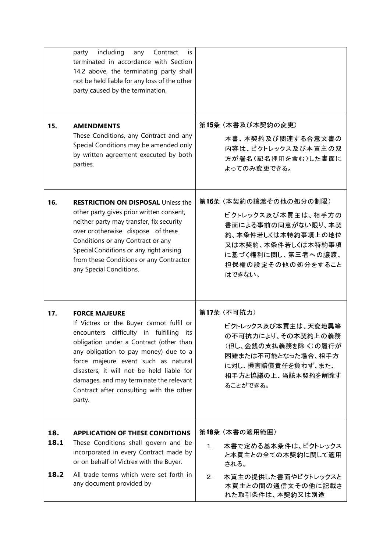|             | including<br>any<br>Contract<br>party<br>İS<br>terminated in accordance with Section<br>14.2 above, the terminating party shall<br>not be held liable for any loss of the other<br>party caused by the termination.                                                                                                                                                                     |                                                                                                                                                                     |
|-------------|-----------------------------------------------------------------------------------------------------------------------------------------------------------------------------------------------------------------------------------------------------------------------------------------------------------------------------------------------------------------------------------------|---------------------------------------------------------------------------------------------------------------------------------------------------------------------|
| 15.         | <b>AMENDMENTS</b><br>These Conditions, any Contract and any<br>Special Conditions may be amended only<br>by written agreement executed by both<br>parties.                                                                                                                                                                                                                              | 第15条 (本書及び本契約の変更)<br>本書、本契約及び関連する合意文書の<br>内容は、ビクトレックス及び本買主の双<br>方が署名(記名押印を含む)した書面に<br>よってのみ変更できる。                                                                   |
| 16.         | <b>RESTRICTION ON DISPOSAL Unless the</b><br>other party gives prior written consent,<br>neither party may transfer, fix security<br>over or otherwise dispose of these<br>Conditions or any Contract or any<br>Special Conditions or any right arising<br>from these Conditions or any Contractor<br>any Special Conditions.                                                           | 第16条 (本契約の譲渡その他の処分の制限)<br>ビクトレックス及び本買主は、相手方の<br>書面による事前の同意がない限り、本契<br>約、本条件若しくは本特約事項上の地位<br>又は本契約、本条件若しくは本特約事項<br>に基づく権利に関し、第三者への譲渡、<br>担保権の設定その他の処分をすること<br>はできない。 |
| 17.         | <b>FORCE MAJEURE</b><br>If Victrex or the Buyer cannot fulfil or<br>encounters difficulty in fulfilling<br>its<br>obligation under a Contract (other than<br>any obligation to pay money) due to a<br>force majeure event such as natural<br>disasters, it will not be held liable for<br>damages, and may terminate the relevant<br>Contract after consulting with the other<br>party. | 第17条 (不可抗力)<br>ビクトレックス及び本買主は、天変地異等<br>の不可抗力により、その本契約上の義務<br>(但し、金銭の支払義務を除く)の履行が<br>困難または不可能となった場合、相手方<br>に対し、損害賠償責任を負わず、また、<br>相手方と協議の上、当該本契約を解除す<br>ることができる。       |
| 18.<br>18.1 | <b>APPLICATION OF THESE CONDITIONS</b><br>These Conditions shall govern and be<br>incorporated in every Contract made by                                                                                                                                                                                                                                                                | 第18条 (本書の適用範囲)<br>本書で定める基本条件は、ビクトレックス<br>1.<br>と本買主との全ての本契約に関して適用                                                                                                   |
| 18.2        | or on behalf of Victrex with the Buyer.<br>All trade terms which were set forth in<br>any document provided by                                                                                                                                                                                                                                                                          | される。<br>本買主の提供した書面やビクトレックスと<br>2.<br>本買主との間の通信文その他に記載さ<br>れた取引条件は、本契約又は別途                                                                                           |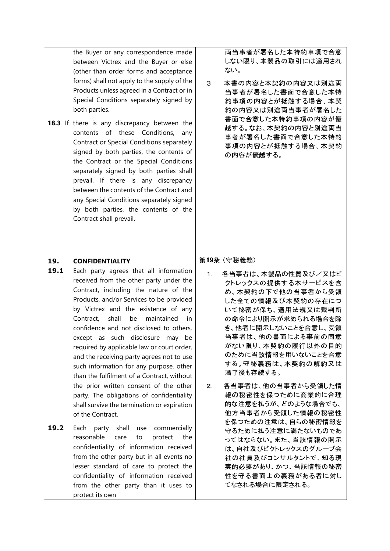the Buyer or any correspondence made between Victrex and the Buyer or else (other than order forms and acceptance forms) shall not apply to the supply of the Products unless agreed in a Contract or in Special Conditions separately signed by both parties.

18.3 If there is any discrepancy between the contents of these Conditions, any Contract or Special Conditions separately signed by both parties, the contents of the Contract or the Special Conditions separately signed by both parties shall prevail. If there is any discrepancy between the contents of the Contract and any Special Conditions separately signed by both parties, the contents of the Contract shall prevail.

両当事者が署名した本特約事項で合意 しない限り、本製品の取引には適用され ない。

3. 本書の内容と本契約の内容又は別途両 当事者が署名した書面で合意した本特 約事項の内容とが抵触する場合、本契 約の内容又は別途両当事者が署名した 書面で合意した本特約事項の内容が優 越する。なお、本契約の内容と別途両当 事者が署名した書面で合意した本特約 事項の内容とが抵触する場合、本契約 の内容が優越する。

### **19. CONFIDENTIALITY**

- 19.1 Each party agrees that all information received from the other party under the Contract, including the nature of the Products, and/or Services to be provided by Victrex and the existence of any Contract, shall be maintained in confidence and not disclosed to others, except as such disclosure may be required by applicable law or court order, and the receiving party agrees not to use such information for any purpose, other than the fulfilment of a Contract, without the prior written consent of the other party. The obligations of confidentiality shall survive the termination or expiration of the Contract.
- 19.2 Each party shall use commercially reasonable care to protect the confidentiality of information received from the other party but in all events no lesser standard of care to protect the confidentiality of information received from the other party than it uses to protect its own

### 第19条 (守秘義務)

- 1. 各当事者は、本製品の性質及び/又はビ クトレックスの提供する本サービスを含 め、本契約の下で他の当事者から受領 した全ての情報及び本契約の存在につ いて秘密が保ち、適用法規又は裁判所 の命令により開示が求められる場合を除 き、他者に開示しないことを合意し、受領 当事者は、他の書面による事前の同意 がない限り、本契約の履行以外の目的 のために当該情報を用いないことを合意 する。守秘義務は、本契約の解約又は 満了後も存続する。
- 2. 各当事者は、他の当事者から受領した情 報の秘密性を保つために商業的に合理 的な注意を払うが、どのような場合でも、 他方当事者から受領した情報の秘密性 を保つための注意は、自らの秘密情報を 守るために払う注意に満たないものであ ってはならない。また、当該情報の開示 は、自社及びビクトレックスのグループ会 社の社員及びコンサルタントで、知る現 実的必要があり、かつ、当該情報の秘密 性を守る書面上の義務がある者に対し てなされる場合に限定される。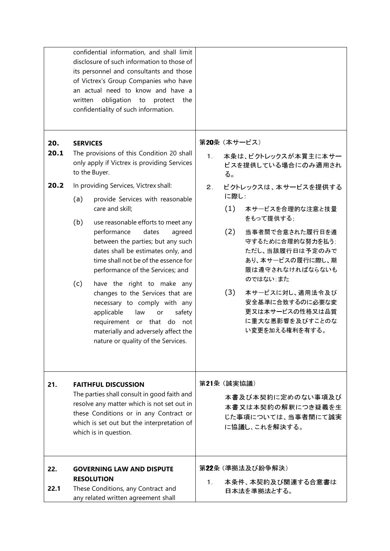|                     | written                                                                                                                                                                                                                                                                                                                                                                                                                                                                                                                                                                                                                                                                                                                                  | confidential information, and shall limit<br>disclosure of such information to those of<br>its personnel and consultants and those<br>of Victrex's Group Companies who have<br>an actual need to know and have a<br>obligation<br>to<br>protect the<br>confidentiality of such information. |             |                                                                                                                                                                                                                                                                                                                                                                |
|---------------------|------------------------------------------------------------------------------------------------------------------------------------------------------------------------------------------------------------------------------------------------------------------------------------------------------------------------------------------------------------------------------------------------------------------------------------------------------------------------------------------------------------------------------------------------------------------------------------------------------------------------------------------------------------------------------------------------------------------------------------------|---------------------------------------------------------------------------------------------------------------------------------------------------------------------------------------------------------------------------------------------------------------------------------------------|-------------|----------------------------------------------------------------------------------------------------------------------------------------------------------------------------------------------------------------------------------------------------------------------------------------------------------------------------------------------------------------|
| 20.<br>20.1<br>20.2 | <b>SERVICES</b><br>The provisions of this Condition 20 shall<br>only apply if Victrex is providing Services<br>to the Buyer.<br>In providing Services, Victrex shall:<br>(a)<br>provide Services with reasonable<br>care and skill;<br>(b)<br>use reasonable efforts to meet any<br>performance<br>dates<br>agreed<br>between the parties; but any such<br>dates shall be estimates only, and<br>time shall not be of the essence for<br>performance of the Services; and<br>(c)<br>have the right to make any<br>changes to the Services that are<br>necessary to comply with any<br>applicable<br>law<br>safety<br>or<br>requirement<br>or that do<br>not<br>materially and adversely affect the<br>nature or quality of the Services. |                                                                                                                                                                                                                                                                                             | $1 -$<br>2. | 第20条 (本サービス)<br>本条は、ビクトレックスが本買主に本サー<br>ビスを提供している場合にのみ適用され<br>る。<br>ビクトレックスは、本サービスを提供する<br>に際し.<br>(1)<br>本サービスを合理的な注意と技量<br>をもって提供する:<br>(2)<br>当事者間で合意された履行日を遵<br>守するために合理的な努力を払う;<br>ただし、当該履行日は予定のみで<br>あり、本サービスの履行に際し、期<br>限は遵守されなければならないも<br>のではない また<br>本サービスに対し、適用法令及び<br>(3)<br>安全基準に合致するのに必要な変<br>更又は本サービスの性格又は品質<br>に重大な悪影響を及びすことのな<br>い変更を加える権利を有する。 |
| 21.                 | <b>FAITHFUL DISCUSSION</b><br>The parties shall consult in good faith and<br>resolve any matter which is not set out in<br>these Conditions or in any Contract or<br>which is set out but the interpretation of<br>which is in question.                                                                                                                                                                                                                                                                                                                                                                                                                                                                                                 |                                                                                                                                                                                                                                                                                             |             | 第21条 (誠実協議)<br>本書及び本契約に定めのない事項及び<br>本書又は本契約の解釈につき疑義を生<br>じた事項については、当事者間にて誠実<br>に協議し、これを解決する。                                                                                                                                                                                                                                                                   |
| 22.<br>22.1         | <b>GOVERNING LAW AND DISPUTE</b><br><b>RESOLUTION</b><br>These Conditions, any Contract and<br>any related written agreement shall                                                                                                                                                                                                                                                                                                                                                                                                                                                                                                                                                                                                       |                                                                                                                                                                                                                                                                                             | $1_{\odot}$ | 第22条 (準拠法及び紛争解決)<br>本条件、本契約及び関連する合意書は<br>日本法を準拠法とする。                                                                                                                                                                                                                                                                                                           |